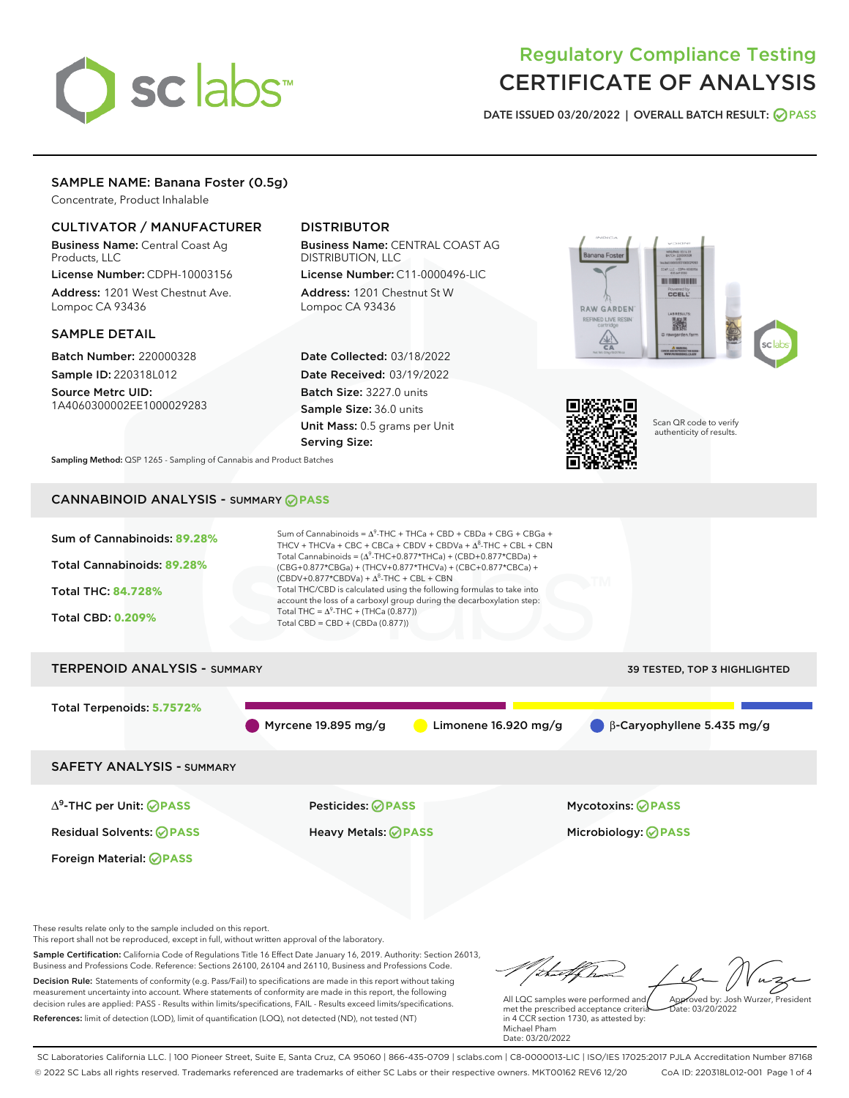# sclabs<sup>\*</sup>

# Regulatory Compliance Testing CERTIFICATE OF ANALYSIS

DATE ISSUED 03/20/2022 | OVERALL BATCH RESULT: @ PASS

# SAMPLE NAME: Banana Foster (0.5g)

Concentrate, Product Inhalable

# CULTIVATOR / MANUFACTURER

Business Name: Central Coast Ag Products, LLC

License Number: CDPH-10003156 Address: 1201 West Chestnut Ave. Lompoc CA 93436

#### SAMPLE DETAIL

Batch Number: 220000328 Sample ID: 220318L012

Source Metrc UID: 1A4060300002EE1000029283

# DISTRIBUTOR

Business Name: CENTRAL COAST AG DISTRIBUTION, LLC License Number: C11-0000496-LIC

Address: 1201 Chestnut St W Lompoc CA 93436

Date Collected: 03/18/2022 Date Received: 03/19/2022 Batch Size: 3227.0 units Sample Size: 36.0 units Unit Mass: 0.5 grams per Unit Serving Size:





Scan QR code to verify authenticity of results.

Sampling Method: QSP 1265 - Sampling of Cannabis and Product Batches

# CANNABINOID ANALYSIS - SUMMARY **PASS**



Sample Certification: California Code of Regulations Title 16 Effect Date January 16, 2019. Authority: Section 26013, Business and Professions Code. Reference: Sections 26100, 26104 and 26110, Business and Professions Code. Decision Rule: Statements of conformity (e.g. Pass/Fail) to specifications are made in this report without taking measurement uncertainty into account. Where statements of conformity are made in this report, the following decision rules are applied: PASS - Results within limits/specifications, FAIL - Results exceed limits/specifications. References: limit of detection (LOD), limit of quantification (LOQ), not detected (ND), not tested (NT)

talk had All LQC samples were performed and Approved by: Josh Wurzer, President met the prescribed acceptance criteria  $ate: 03/20/2022$ 

in 4 CCR section 1730, as attested by: Michael Pham Date: 03/20/2022

SC Laboratories California LLC. | 100 Pioneer Street, Suite E, Santa Cruz, CA 95060 | 866-435-0709 | sclabs.com | C8-0000013-LIC | ISO/IES 17025:2017 PJLA Accreditation Number 87168 © 2022 SC Labs all rights reserved. Trademarks referenced are trademarks of either SC Labs or their respective owners. MKT00162 REV6 12/20 CoA ID: 220318L012-001 Page 1 of 4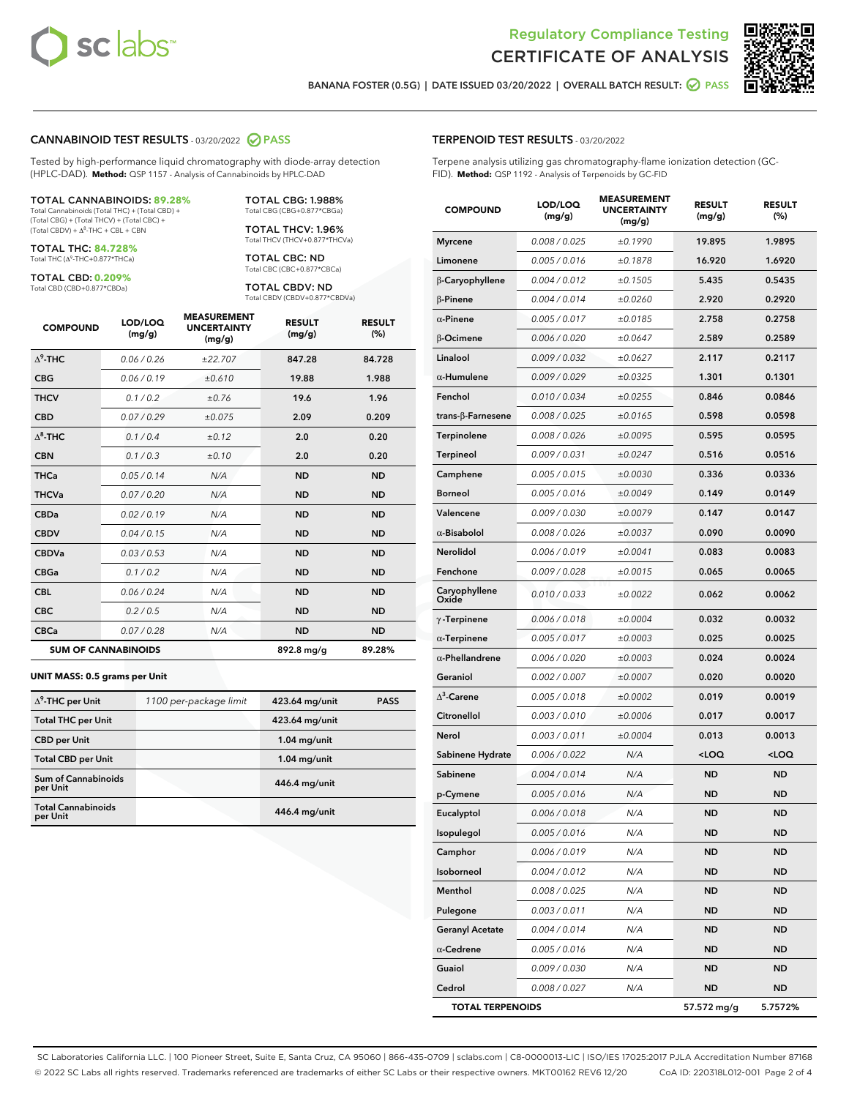



BANANA FOSTER (0.5G) | DATE ISSUED 03/20/2022 | OVERALL BATCH RESULT: 2 PASS

#### CANNABINOID TEST RESULTS - 03/20/2022 2 PASS

Tested by high-performance liquid chromatography with diode-array detection (HPLC-DAD). **Method:** QSP 1157 - Analysis of Cannabinoids by HPLC-DAD

#### TOTAL CANNABINOIDS: **89.28%**

Total Cannabinoids (Total THC) + (Total CBD) + (Total CBG) + (Total THCV) + (Total CBC) +  $(Total CBDV) +  $\Delta^8$ -THC + CBL + CBN$ 

TOTAL THC: **84.728%** Total THC (Δ<sup>9</sup>-THC+0.877\*THCa)

TOTAL CBD: **0.209%**

Total CBD (CBD+0.877\*CBDa)

TOTAL CBG: 1.988% Total CBG (CBG+0.877\*CBGa)

TOTAL THCV: 1.96% Total THCV (THCV+0.877\*THCVa)

TOTAL CBC: ND Total CBC (CBC+0.877\*CBCa)

TOTAL CBDV: ND Total CBDV (CBDV+0.877\*CBDVa)

| <b>COMPOUND</b>  | LOD/LOQ<br>(mg/g)          | <b>MEASUREMENT</b><br><b>UNCERTAINTY</b><br>(mg/g) | <b>RESULT</b><br>(mg/g) | <b>RESULT</b><br>(%) |
|------------------|----------------------------|----------------------------------------------------|-------------------------|----------------------|
| $\Lambda^9$ -THC | 0.06 / 0.26                | ±22.707                                            | 847.28                  | 84.728               |
| <b>CBG</b>       | 0.06 / 0.19                | ±0.610                                             | 19.88                   | 1.988                |
| <b>THCV</b>      | 0.1 / 0.2                  | ±0.76                                              | 19.6                    | 1.96                 |
| <b>CBD</b>       | 0.07/0.29                  | ±0.075                                             | 2.09                    | 0.209                |
| $\Delta^8$ -THC  | 0.1 / 0.4                  | ±0.12                                              | 2.0                     | 0.20                 |
| <b>CBN</b>       | 0.1 / 0.3                  | ±0.10                                              | 2.0                     | 0.20                 |
| <b>THCa</b>      | 0.05/0.14                  | N/A                                                | <b>ND</b>               | <b>ND</b>            |
| <b>THCVa</b>     | 0.07/0.20                  | N/A                                                | <b>ND</b>               | <b>ND</b>            |
| <b>CBDa</b>      | 0.02/0.19                  | N/A                                                | <b>ND</b>               | <b>ND</b>            |
| <b>CBDV</b>      | 0.04 / 0.15                | N/A                                                | <b>ND</b>               | <b>ND</b>            |
| <b>CBDVa</b>     | 0.03/0.53                  | N/A                                                | <b>ND</b>               | <b>ND</b>            |
| <b>CBGa</b>      | 0.1 / 0.2                  | N/A                                                | <b>ND</b>               | <b>ND</b>            |
| <b>CBL</b>       | 0.06 / 0.24                | N/A                                                | <b>ND</b>               | <b>ND</b>            |
| <b>CBC</b>       | 0.2 / 0.5                  | N/A                                                | <b>ND</b>               | <b>ND</b>            |
| <b>CBCa</b>      | 0.07/0.28                  | N/A                                                | <b>ND</b>               | <b>ND</b>            |
|                  | <b>SUM OF CANNABINOIDS</b> |                                                    | 892.8 mg/g              | 89.28%               |

#### **UNIT MASS: 0.5 grams per Unit**

| $\Delta^9$ -THC per Unit               | 1100 per-package limit | 423.64 mg/unit | <b>PASS</b> |
|----------------------------------------|------------------------|----------------|-------------|
| <b>Total THC per Unit</b>              |                        | 423.64 mg/unit |             |
| <b>CBD</b> per Unit                    |                        | $1.04$ mg/unit |             |
| <b>Total CBD per Unit</b>              |                        | $1.04$ mg/unit |             |
| <b>Sum of Cannabinoids</b><br>per Unit |                        | 446.4 mg/unit  |             |
| <b>Total Cannabinoids</b><br>per Unit  |                        | 446.4 mg/unit  |             |

| <b>COMPOUND</b>           | LOD/LOQ<br>(mg/g) | ASUREM<br><b>UNCERTAINTY</b><br>(mg/g) | <b>RESULT</b><br>(mg/g)                         | <b>RESULT</b><br>$(\%)$ |
|---------------------------|-------------------|----------------------------------------|-------------------------------------------------|-------------------------|
| <b>Myrcene</b>            | 0.008 / 0.025     | ±0.1990                                | 19.895                                          | 1.9895                  |
| Limonene                  | 0.005 / 0.016     | ±0.1878                                | 16.920                                          | 1.6920                  |
| β-Caryophyllene           | 0.004 / 0.012     | ±0.1505                                | 5.435                                           | 0.5435                  |
| $\beta$ -Pinene           | 0.004 / 0.014     | ±0.0260                                | 2.920                                           | 0.2920                  |
| $\alpha$ -Pinene          | 0.005 / 0.017     | ±0.0185                                | 2.758                                           | 0.2758                  |
| β-Ocimene                 | 0.006 / 0.020     | ±0.0647                                | 2.589                                           | 0.2589                  |
| Linalool                  | 0.009 / 0.032     | ±0.0627                                | 2.117                                           | 0.2117                  |
| $\alpha$ -Humulene        | 0.009/0.029       | ±0.0325                                | 1.301                                           | 0.1301                  |
| Fenchol                   | 0.010 / 0.034     | ±0.0255                                | 0.846                                           | 0.0846                  |
| trans- $\beta$ -Farnesene | 0.008 / 0.025     | ±0.0165                                | 0.598                                           | 0.0598                  |
| Terpinolene               | 0.008 / 0.026     | ±0.0095                                | 0.595                                           | 0.0595                  |
| Terpineol                 | 0.009 / 0.031     | ±0.0247                                | 0.516                                           | 0.0516                  |
| Camphene                  | 0.005 / 0.015     | ±0.0030                                | 0.336                                           | 0.0336                  |
| <b>Borneol</b>            | 0.005 / 0.016     | ±0.0049                                | 0.149                                           | 0.0149                  |
| Valencene                 | 0.009 / 0.030     | ±0.0079                                | 0.147                                           | 0.0147                  |
| $\alpha$ -Bisabolol       | 0.008 / 0.026     | ±0.0037                                | 0.090                                           | 0.0090                  |
| Nerolidol                 | 0.006 / 0.019     | ±0.0041                                | 0.083                                           | 0.0083                  |
| Fenchone                  | 0.009 / 0.028     | ±0.0015                                | 0.065                                           | 0.0065                  |
| Caryophyllene<br>Oxide    | 0.010 / 0.033     | ±0.0022                                | 0.062                                           | 0.0062                  |
| $\gamma$ -Terpinene       | 0.006 / 0.018     | ±0.0004                                | 0.032                                           | 0.0032                  |
| $\alpha$ -Terpinene       | 0.005 / 0.017     | ±0.0003                                | 0.025                                           | 0.0025                  |
| $\alpha$ -Phellandrene    | 0.006 / 0.020     | ±0.0003                                | 0.024                                           | 0.0024                  |
| Geraniol                  | 0.002 / 0.007     | ±0.0007                                | 0.020                                           | 0.0020                  |
| $\Delta^3$ -Carene        | 0.005 / 0.018     | ±0.0002                                | 0.019                                           | 0.0019                  |
| Citronellol               | 0.003 / 0.010     | ±0.0006                                | 0.017                                           | 0.0017                  |
| Nerol                     | 0.003 / 0.011     | ±0.0004                                | 0.013                                           | 0.0013                  |
| Sabinene Hydrate          | 0.006 / 0.022     | N/A                                    | <loq< th=""><th><loq< th=""></loq<></th></loq<> | <loq< th=""></loq<>     |
| Sabinene                  | 0.004 / 0.014     | N/A                                    | <b>ND</b>                                       | <b>ND</b>               |
| p-Cymene                  | 0.005 / 0.016     | N/A                                    | ND                                              | <b>ND</b>               |
| Eucalyptol                | 0.006 / 0.018     | N/A                                    | <b>ND</b>                                       | <b>ND</b>               |
| Isopulegol                | 0.005 / 0.016     | N/A                                    | ND                                              | ND                      |
| Camphor                   | 0.006 / 0.019     | N/A                                    | ND                                              | ND                      |
| Isoborneol                | 0.004 / 0.012     | N/A                                    | <b>ND</b>                                       | ND                      |
| Menthol                   | 0.008 / 0.025     | N/A                                    | ND                                              | ND                      |
| Pulegone                  | 0.003 / 0.011     | N/A                                    | ND                                              | ND                      |
| <b>Geranyl Acetate</b>    | 0.004 / 0.014     | N/A                                    | ND                                              | ND                      |
| $\alpha$ -Cedrene         | 0.005 / 0.016     | N/A                                    | ND                                              | ND                      |
| Guaiol                    | 0.009 / 0.030     | N/A                                    | ND                                              | ND                      |
| Cedrol                    | 0.008 / 0.027     | N/A                                    | ND                                              | ND                      |
| <b>TOTAL TERPENOIDS</b>   |                   |                                        | 57.572 mg/g                                     | 5.7572%                 |

SC Laboratories California LLC. | 100 Pioneer Street, Suite E, Santa Cruz, CA 95060 | 866-435-0709 | sclabs.com | C8-0000013-LIC | ISO/IES 17025:2017 PJLA Accreditation Number 87168 © 2022 SC Labs all rights reserved. Trademarks referenced are trademarks of either SC Labs or their respective owners. MKT00162 REV6 12/20 CoA ID: 220318L012-001 Page 2 of 4

# TERPENOID TEST RESULTS - 03/20/2022

Terpene analysis utilizing gas chromatography-flame ionization detection (GC-FID). **Method:** QSP 1192 - Analysis of Terpenoids by GC-FID

MEASUREMENT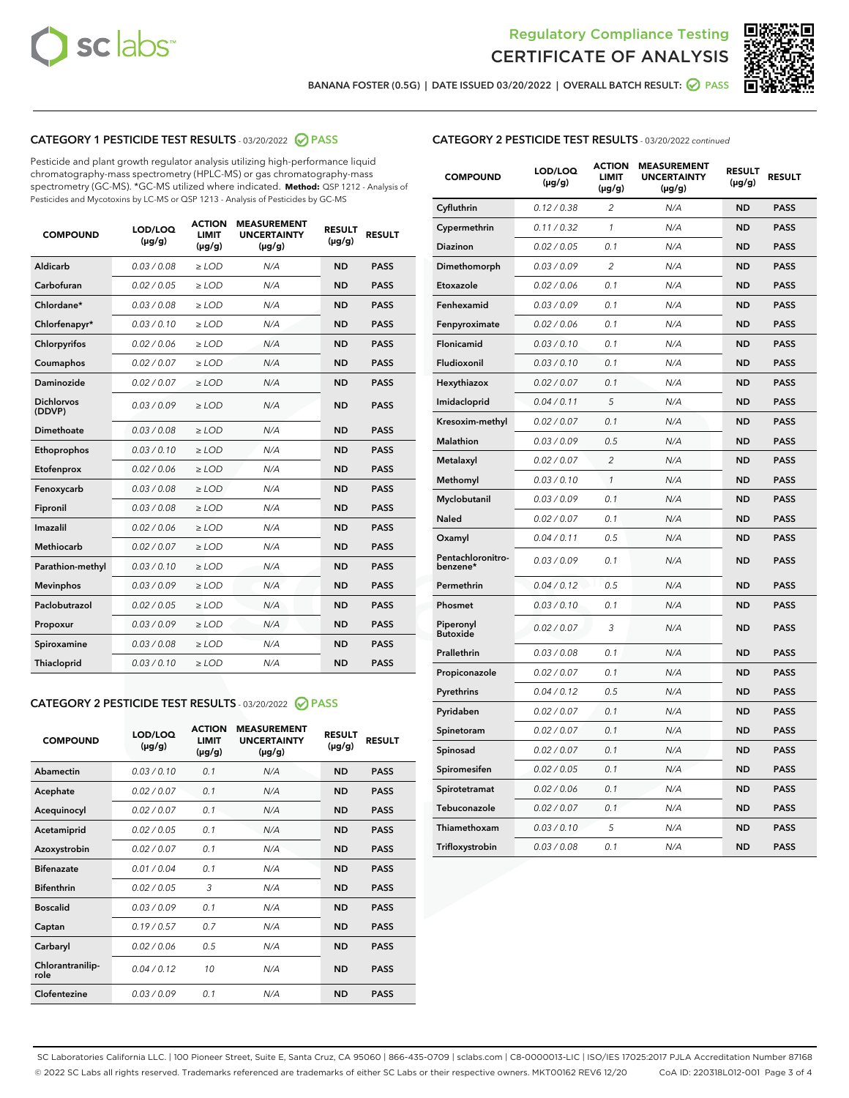



BANANA FOSTER (0.5G) | DATE ISSUED 03/20/2022 | OVERALL BATCH RESULT: @ PASS

# CATEGORY 1 PESTICIDE TEST RESULTS - 03/20/2022 2 PASS

Pesticide and plant growth regulator analysis utilizing high-performance liquid chromatography-mass spectrometry (HPLC-MS) or gas chromatography-mass spectrometry (GC-MS). \*GC-MS utilized where indicated. **Method:** QSP 1212 - Analysis of Pesticides and Mycotoxins by LC-MS or QSP 1213 - Analysis of Pesticides by GC-MS

| <b>COMPOUND</b>             | LOD/LOQ<br>$(\mu g/g)$ | <b>ACTION</b><br>LIMIT<br>$(\mu g/g)$ | <b>MEASUREMENT</b><br><b>UNCERTAINTY</b><br>$(\mu g/g)$ | <b>RESULT</b><br>$(\mu g/g)$ | <b>RESULT</b> |  |
|-----------------------------|------------------------|---------------------------------------|---------------------------------------------------------|------------------------------|---------------|--|
| Aldicarb                    | 0.03 / 0.08            | $\ge$ LOD                             | N/A                                                     | <b>ND</b>                    | <b>PASS</b>   |  |
| Carbofuran                  | 0.02 / 0.05            | $>$ LOD                               | N/A                                                     | <b>ND</b>                    | <b>PASS</b>   |  |
| Chlordane*                  | 0.03 / 0.08            | $\ge$ LOD                             | N/A                                                     | <b>ND</b>                    | <b>PASS</b>   |  |
| Chlorfenapyr*               | 0.03/0.10              | $\ge$ LOD                             | N/A                                                     | <b>ND</b>                    | <b>PASS</b>   |  |
| Chlorpyrifos                | 0.02/0.06              | $>$ LOD                               | N/A                                                     | <b>ND</b>                    | <b>PASS</b>   |  |
| Coumaphos                   | 0.02 / 0.07            | $\ge$ LOD                             | N/A                                                     | <b>ND</b>                    | <b>PASS</b>   |  |
| Daminozide                  | 0.02 / 0.07            | $\ge$ LOD                             | N/A                                                     | <b>ND</b>                    | <b>PASS</b>   |  |
| <b>Dichlorvos</b><br>(DDVP) | 0.03/0.09              | $\ge$ LOD                             | N/A                                                     | <b>ND</b>                    | <b>PASS</b>   |  |
| Dimethoate                  | 0.03/0.08              | $>$ LOD                               | N/A                                                     | <b>ND</b>                    | <b>PASS</b>   |  |
| Ethoprophos                 | 0.03/0.10              | $\ge$ LOD                             | N/A                                                     | <b>ND</b>                    | <b>PASS</b>   |  |
| Etofenprox                  | 0.02 / 0.06            | $>$ LOD                               | N/A                                                     | <b>ND</b>                    | <b>PASS</b>   |  |
| Fenoxycarb                  | 0.03/0.08              | $>$ LOD                               | N/A                                                     | <b>ND</b>                    | <b>PASS</b>   |  |
| Fipronil                    | 0.03 / 0.08            | $\ge$ LOD                             | N/A                                                     | <b>ND</b>                    | <b>PASS</b>   |  |
| Imazalil                    | 0.02/0.06              | $>$ LOD                               | N/A                                                     | <b>ND</b>                    | <b>PASS</b>   |  |
| <b>Methiocarb</b>           | 0.02 / 0.07            | $\ge$ LOD                             | N/A                                                     | <b>ND</b>                    | <b>PASS</b>   |  |
| Parathion-methyl            | 0.03/0.10              | $\ge$ LOD                             | N/A                                                     | <b>ND</b>                    | <b>PASS</b>   |  |
| <b>Mevinphos</b>            | 0.03/0.09              | $>$ LOD                               | N/A                                                     | <b>ND</b>                    | <b>PASS</b>   |  |
| Paclobutrazol               | 0.02 / 0.05            | $\ge$ LOD                             | N/A                                                     | <b>ND</b>                    | <b>PASS</b>   |  |
| Propoxur                    | 0.03/0.09              | $>$ LOD                               | N/A                                                     | <b>ND</b>                    | <b>PASS</b>   |  |
| Spiroxamine                 | 0.03 / 0.08            | $\ge$ LOD                             | N/A                                                     | <b>ND</b>                    | <b>PASS</b>   |  |
| Thiacloprid                 | 0.03/0.10              | $\ge$ LOD                             | N/A                                                     | <b>ND</b>                    | <b>PASS</b>   |  |
|                             |                        |                                       |                                                         |                              |               |  |

#### CATEGORY 2 PESTICIDE TEST RESULTS - 03/20/2022 @ PASS

| <b>COMPOUND</b>          | LOD/LOO<br>$(\mu g/g)$ | <b>ACTION</b><br><b>LIMIT</b><br>(µg/g) | <b>MEASUREMENT</b><br><b>UNCERTAINTY</b><br>$(\mu g/g)$ | <b>RESULT</b><br>$(\mu g/g)$ | <b>RESULT</b> |  |
|--------------------------|------------------------|-----------------------------------------|---------------------------------------------------------|------------------------------|---------------|--|
| Abamectin                | 0.03/0.10              | 0.1                                     | N/A                                                     | <b>ND</b>                    | <b>PASS</b>   |  |
| Acephate                 | 0.02/0.07              | 0.1                                     | N/A                                                     | <b>ND</b>                    | <b>PASS</b>   |  |
| Acequinocyl              | 0.02/0.07              | 0.1                                     | N/A                                                     | <b>ND</b>                    | <b>PASS</b>   |  |
| Acetamiprid              | 0.02/0.05              | 0.1                                     | N/A                                                     | <b>ND</b>                    | <b>PASS</b>   |  |
| Azoxystrobin             | 0.02/0.07              | 0.1                                     | N/A                                                     | <b>ND</b>                    | <b>PASS</b>   |  |
| <b>Bifenazate</b>        | 0.01/0.04              | 0.1                                     | N/A                                                     | <b>ND</b>                    | <b>PASS</b>   |  |
| <b>Bifenthrin</b>        | 0.02/0.05              | 3                                       | N/A                                                     | <b>ND</b>                    | <b>PASS</b>   |  |
| <b>Boscalid</b>          | 0.03/0.09              | 0.1                                     | N/A                                                     | <b>ND</b>                    | <b>PASS</b>   |  |
| Captan                   | 0.19/0.57              | 0.7                                     | N/A                                                     | <b>ND</b>                    | <b>PASS</b>   |  |
| Carbaryl                 | 0.02/0.06              | 0.5                                     | N/A                                                     | <b>ND</b>                    | <b>PASS</b>   |  |
| Chlorantranilip-<br>role | 0.04/0.12              | 10                                      | N/A                                                     | <b>ND</b>                    | <b>PASS</b>   |  |
| Clofentezine             | 0.03/0.09              | 0.1                                     | N/A                                                     | <b>ND</b>                    | <b>PASS</b>   |  |

| <b>CATEGORY 2 PESTICIDE TEST RESULTS</b> - 03/20/2022 continued |
|-----------------------------------------------------------------|
|-----------------------------------------------------------------|

| <b>COMPOUND</b>               | LOD/LOQ<br>(µg/g) | <b>ACTION</b><br>LIMIT<br>$(\mu g/g)$ | <b>MEASUREMENT</b><br><b>UNCERTAINTY</b><br>$(\mu g/g)$ | <b>RESULT</b><br>(µg/g) | <b>RESULT</b> |
|-------------------------------|-------------------|---------------------------------------|---------------------------------------------------------|-------------------------|---------------|
| Cyfluthrin                    | 0.12 / 0.38       | $\overline{c}$                        | N/A                                                     | <b>ND</b>               | <b>PASS</b>   |
| Cypermethrin                  | 0.11 / 0.32       | 1                                     | N/A                                                     | <b>ND</b>               | <b>PASS</b>   |
| Diazinon                      | 0.02 / 0.05       | 0.1                                   | N/A                                                     | <b>ND</b>               | <b>PASS</b>   |
| Dimethomorph                  | 0.03 / 0.09       | 2                                     | N/A                                                     | <b>ND</b>               | <b>PASS</b>   |
| Etoxazole                     | 0.02 / 0.06       | 0.1                                   | N/A                                                     | <b>ND</b>               | <b>PASS</b>   |
| Fenhexamid                    | 0.03 / 0.09       | 0.1                                   | N/A                                                     | <b>ND</b>               | <b>PASS</b>   |
| Fenpyroximate                 | 0.02 / 0.06       | 0.1                                   | N/A                                                     | <b>ND</b>               | <b>PASS</b>   |
| <b>Flonicamid</b>             | 0.03 / 0.10       | 0.1                                   | N/A                                                     | <b>ND</b>               | <b>PASS</b>   |
| Fludioxonil                   | 0.03 / 0.10       | 0.1                                   | N/A                                                     | <b>ND</b>               | <b>PASS</b>   |
| Hexythiazox                   | 0.02 / 0.07       | 0.1                                   | N/A                                                     | <b>ND</b>               | <b>PASS</b>   |
| Imidacloprid                  | 0.04 / 0.11       | 5                                     | N/A                                                     | <b>ND</b>               | <b>PASS</b>   |
| Kresoxim-methyl               | 0.02 / 0.07       | 0.1                                   | N/A                                                     | <b>ND</b>               | <b>PASS</b>   |
| Malathion                     | 0.03 / 0.09       | 0.5                                   | N/A                                                     | <b>ND</b>               | <b>PASS</b>   |
| Metalaxyl                     | 0.02 / 0.07       | $\overline{c}$                        | N/A                                                     | <b>ND</b>               | <b>PASS</b>   |
| Methomyl                      | 0.03 / 0.10       | $\mathcal{I}$                         | N/A                                                     | <b>ND</b>               | <b>PASS</b>   |
| Myclobutanil                  | 0.03 / 0.09       | 0.1                                   | N/A                                                     | <b>ND</b>               | <b>PASS</b>   |
| Naled                         | 0.02 / 0.07       | 0.1                                   | N/A                                                     | <b>ND</b>               | <b>PASS</b>   |
| Oxamyl                        | 0.04 / 0.11       | 0.5                                   | N/A                                                     | <b>ND</b>               | <b>PASS</b>   |
| Pentachloronitro-<br>benzene* | 0.03 / 0.09       | 0.1                                   | N/A                                                     | <b>ND</b>               | <b>PASS</b>   |
| Permethrin                    | 0.04/0.12         | 0.5                                   | N/A                                                     | <b>ND</b>               | <b>PASS</b>   |
| Phosmet                       | 0.03 / 0.10       | 0.1                                   | N/A                                                     | <b>ND</b>               | <b>PASS</b>   |
| Piperonyl<br><b>Butoxide</b>  | 0.02 / 0.07       | 3                                     | N/A                                                     | <b>ND</b>               | <b>PASS</b>   |
| Prallethrin                   | 0.03 / 0.08       | 0.1                                   | N/A                                                     | <b>ND</b>               | <b>PASS</b>   |
| Propiconazole                 | 0.02 / 0.07       | 0.1                                   | N/A                                                     | <b>ND</b>               | <b>PASS</b>   |
| Pyrethrins                    | 0.04 / 0.12       | 0.5                                   | N/A                                                     | <b>ND</b>               | <b>PASS</b>   |
| Pyridaben                     | 0.02 / 0.07       | 0.1                                   | N/A                                                     | <b>ND</b>               | <b>PASS</b>   |
| Spinetoram                    | 0.02 / 0.07       | 0.1                                   | N/A                                                     | ND                      | <b>PASS</b>   |
| Spinosad                      | 0.02 / 0.07       | 0.1                                   | N/A                                                     | <b>ND</b>               | <b>PASS</b>   |
| Spiromesifen                  | 0.02 / 0.05       | 0.1                                   | N/A                                                     | <b>ND</b>               | <b>PASS</b>   |
| Spirotetramat                 | 0.02 / 0.06       | 0.1                                   | N/A                                                     | <b>ND</b>               | <b>PASS</b>   |
| Tebuconazole                  | 0.02 / 0.07       | 0.1                                   | N/A                                                     | <b>ND</b>               | <b>PASS</b>   |
| Thiamethoxam                  | 0.03 / 0.10       | 5                                     | N/A                                                     | <b>ND</b>               | <b>PASS</b>   |
| Trifloxystrobin               | 0.03 / 0.08       | 0.1                                   | N/A                                                     | <b>ND</b>               | <b>PASS</b>   |

SC Laboratories California LLC. | 100 Pioneer Street, Suite E, Santa Cruz, CA 95060 | 866-435-0709 | sclabs.com | C8-0000013-LIC | ISO/IES 17025:2017 PJLA Accreditation Number 87168 © 2022 SC Labs all rights reserved. Trademarks referenced are trademarks of either SC Labs or their respective owners. MKT00162 REV6 12/20 CoA ID: 220318L012-001 Page 3 of 4